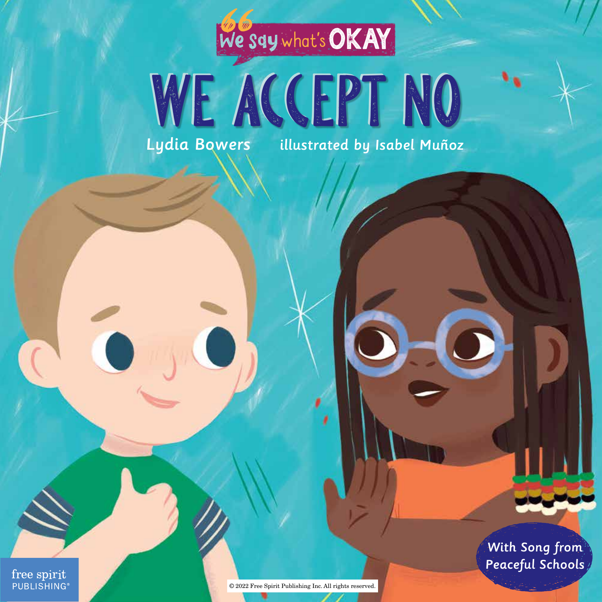## we say**what' s**OKAY

# WE ACCEPT NO

Lydia Bowers illustrated by Isabel Muñoz

free spirit **PUBLISHING®** 

© 2022 Free Spirit Publishing Inc. All rights reserved.

ı

With Song from Peaceful Schools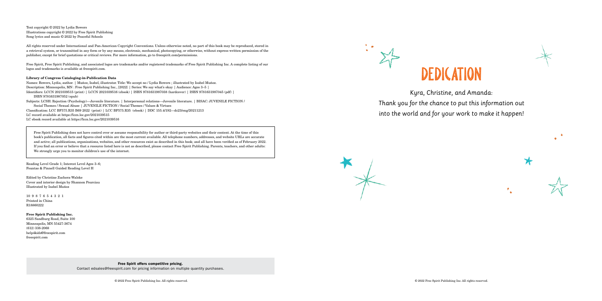Free Spirit offers competitive pricing.

Contact edsales@freespirit.com for pricing information on multiple quantity purchases.

Text copyright © 2022 by Lydia Bowers Illustrations copyright © 2022 by Free Spirit Publishing Song lyrics and music © 2022 by Peaceful Schools

All rights reserved under International and Pan-American Copyright Conventions. Unless otherwise noted, no part of this book may be reproduced, stored in a retrieval system, or transmitted in any form or by any means, electronic, mechanical, photocopying, or otherwise, without express written permission of the publisher, except for brief quotations or critical reviews. For more information, go to freespirit.com/permissions.

Free Spirit, Free Spirit Publishing, and associated logos are trademarks and/or registered trademarks of Free Spirit Publishing Inc. A complete listing of our logos and trademarks is available at freespirit.com.

#### Library of Congress Cataloging-in-Publication Data

Names: Bowers, Lydia, author. | Muñoz, Isabel, illustrator. Title: We accept no / Lydia Bowers ; illustrated by Isabel Muñoz. Description: Minneapolis, MN : Free Spirit Publishing Inc., [2022] | Series: We say what's okay | Audience: Ages 3–5 | Identifiers: LCCN 2021039515 (print) | LCCN 2021039516 (ebook) | ISBN 9781631987038 (hardcover) | ISBN 9781631987045 (pdf) | ISBN 9781631987052 (epub) Subjects: LCSH: Rejection (Psychology)—Juvenile literature. | Interpersonal relations—Juvenile literature. | BISAC: JUVENILE FICTION / Social Themes / Sexual Abuse | JUVENILE FICTION / Social Themes / Values & Virtues Classification: LCC BF575.R35 B69 2022 (print) | LCC BF575.R35 (ebook) | DDC 155.4/192—dc23/eng/20211213 LC record available at https://lccn.loc.gov/2021039515 LC ebook record available at https://lccn.loc.gov/2021039516

Free Spirit Publishing does not have control over or assume responsibility for author or third-party websites and their content. At the time of this book's publication, all facts and figures cited within are the most current available. All telephone numbers, addresses, and website URLs are accurate and active; all publications, organizations, websites, and other resources exist as described in this book; and all have been verified as of February 2022. If you find an error or believe that a resource listed here is not as described, please contact Free Spirit Publishing. Parents, teachers, and other adults: We strongly urge you to monitor children's use of the internet.

Reading Level Grade 1; Interest Level Ages 3–6; Fountas & Pinnell Guided Reading Level H

Edited by Christine Zuchora-Walske Cover and interior design by Shannon Pourciau Illustrated by Isabel Muñoz

10 9 8 7 6 5 4 3 2 1 Printed in China R18860222

Free Spirit Publishing Inc. 6325 Sandburg Road, Suite 100 Minneapolis, MN 55427-3674 (612) 338-2068 help4kids@freespirit.com freespirit.com





Kyra, Christine, and Amanda: Thank you for the chance to put this information out into the world and for your work to make it happen!

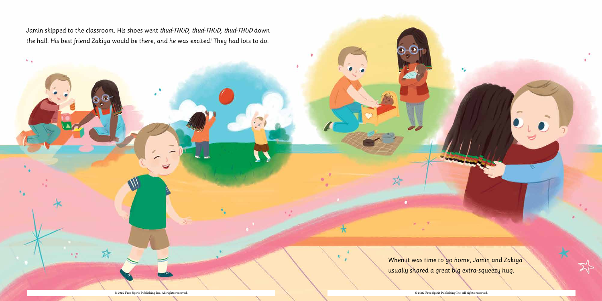Jamin skipped to the classroom. His shoes went *thud-THUD, thud-THUD, thud-THUD* down the hall. His best friend Zakiya would be there, and he was excited! They had lots to do.

 $\mathbf{N}$  .

When it was time to go home, Jamin and Zakiya usually shared a great big extra-squeezy hug.

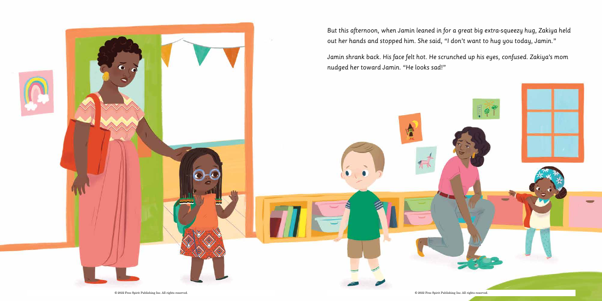